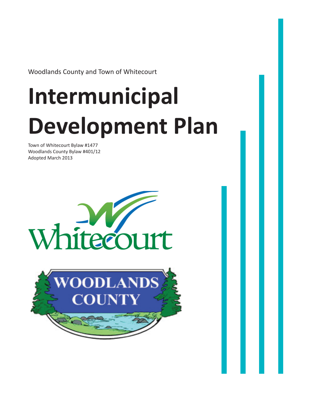Woodlands County and Town of Whitecourt

# **Intermunicipal Development Plan**

Town of Whitecourt Bylaw #1477 Woodlands County Bylaw #401/12 Adopted March 2013



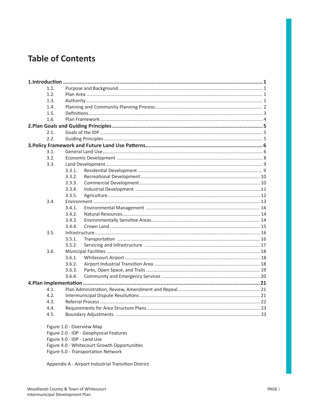# **Table of Contents**

|  | 1.1.                                         |        |  |
|--|----------------------------------------------|--------|--|
|  | 1.2.                                         |        |  |
|  | 1.3.                                         |        |  |
|  | 1.4.                                         |        |  |
|  | 1.5.                                         |        |  |
|  | 1.6.                                         |        |  |
|  |                                              |        |  |
|  | 2.1.                                         |        |  |
|  | 2.2.                                         |        |  |
|  |                                              |        |  |
|  | 3.1.                                         |        |  |
|  | 3.2.                                         |        |  |
|  | 3.3.                                         |        |  |
|  |                                              | 3.3.1. |  |
|  |                                              | 3.3.2. |  |
|  |                                              | 3.3.3. |  |
|  |                                              | 3.3.4. |  |
|  |                                              | 3.3.5. |  |
|  | 3.4.                                         |        |  |
|  |                                              | 3.4.1. |  |
|  |                                              | 3.4.2. |  |
|  |                                              | 3.4.3. |  |
|  |                                              | 3.4.4. |  |
|  | 3.5.                                         |        |  |
|  |                                              | 3.5.1. |  |
|  |                                              | 3.5.2. |  |
|  | 3.6.                                         |        |  |
|  |                                              | 3.6.1. |  |
|  |                                              | 3.6.2. |  |
|  |                                              | 3.6.3. |  |
|  |                                              | 3.6.4. |  |
|  |                                              |        |  |
|  | 4.1.                                         |        |  |
|  | 4.2.                                         |        |  |
|  | 4.3.                                         |        |  |
|  | 4.4.                                         |        |  |
|  | 4.5.                                         |        |  |
|  | Figure 1.0 - Overview Map                    |        |  |
|  | Figure 2.0 - IDP - Geophysical Features      |        |  |
|  | Figure 3.0 - IDP - Land Use                  |        |  |
|  | Figure 4.0 - Whitecourt Growth Opportunities |        |  |
|  | Figure 5.0 - Transportation Network          |        |  |

Appendix A - Airport Industrial Transition District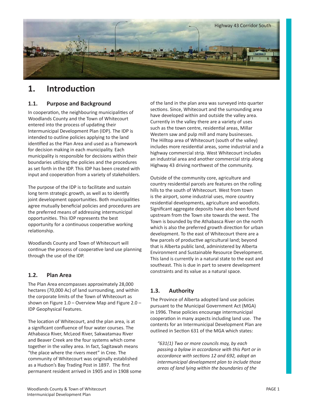

# 1. Introduction

# **1.1. Purpose and Background**

In cooperation, the neighbouring municipalities of Woodlands County and the Town of Whitecourt entered into the process of updating their Intermunicipal Development Plan (IDP). The IDP is intended to outline policies applying to the land identified as the Plan Area and used as a framework for decision making in each municipality. Each municipality is responsible for decisions within their boundaries utilizing the policies and the procedures as set forth in the IDP. This IDP has been created with input and cooperation from a variety of stakeholders.

The purpose of the IDP is to facilitate and sustain long term strategic growth, as well as to identify joint development opportunities. Both municipalities agree mutually beneficial policies and procedures are the preferred means of addressing intermunicipal opportunities. This IDP represents the best opportunity for a continuous cooperative working relationship.

Woodlands County and Town of Whitecourt will continue the process of cooperative land use planning through the use of the IDP.

# **1.2. Plan Area**

The Plan Area encompasses approximately 28,000 hectares (70,000 Ac) of land surrounding, and within the corporate limits of the Town of Whitecourt as shown on Figure 1.0 – Overview Map and Figure 2.0 – IDP Geophysical Features.

The location of Whitecourt, and the plan area, is at a significant confluence of four water courses. The Athabasca River, McLeod River, Sakwatamau River and Beaver Creek are the four systems which come together in the valley area. In fact, Sagitawah means "the place where the rivers meet" in Cree. The community of Whitecourt was originally established as a Hudson's Bay Trading Post in 1897. The first permanent resident arrived in 1905 and in 1908 some of the land in the plan area was surveyed into quarter sections. Since, Whitecourt and the surrounding area have developed within and outside the valley area. Currently in the valley there are a variety of uses such as the town centre, residential areas, Millar Western saw and pulp mill and many businesses. The Hilltop area of Whitecourt (south of the valley) includes more residential areas, some industrial and a highway commercial strip. West Whitecourt includes an industrial area and another commercial strip along Highway 43 driving northwest of the community.

Outside of the community core, agriculture and country residential parcels are features on the rolling hills to the south of Whitecourt. West from town is the airport, some industrial uses, more country residential developments, agriculture and woodlots. Significant aggregate deposits have also been found upstream from the Town site towards the west. The Town is bounded by the Athabasca River on the north which is also the preferred growth direction for urban development. To the east of Whitecourt there are a few parcels of productive agricultural land; beyond that is Alberta public land, administered by Alberta Environment and Sustainable Resource Development. This land is currently in a natural state to the east and southeast. This is due in part to severe development constraints and its value as a natural space.

# **1.3. Authority**

The Province of Alberta adopted land use policies pursuant to the Municipal Government Act (MGA) in 1996. These policies encourage intermunicipal cooperation in many aspects including land use. The contents for an Intermunicipal Development Plan are outlined in Section 631 of the MGA which states:

*"631(1) Two or more councils may, by each passing a bylaw in accordance with this Part or in accordance with secƟ ons 12 and 692, adopt an intermunicipal development plan to include those areas of land lying within the boundaries of the*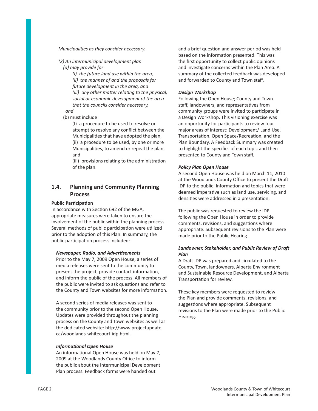#### *Municipalities as they consider necessary.*

*(2) An intermunicipal development plan (a) may provide for*

> *(i) the future land use within the area, (ii) the manner of and the proposals for future development in the area, and (iii)* any other matter relating to the physical, *social or economic development of the area that the councils consider necessary,*

*and*

(b) must include

(I) a procedure to be used to resolve or attempt to resolve any conflict between the Municipalities that have adopted the plan, (ii) a procedure to be used, by one or more Municipalities, to amend or repeal the plan, and

(iii) provisions relating to the administration of the plan.

# **1.4. Planning and Community Planning Process**

#### **Public Participation**

In accordance with Section 692 of the MGA. appropriate measures were taken to ensure the involvement of the public within the planning process. Several methods of public participation were utilized prior to the adoption of this Plan. In summary, the public participation process included:

#### *Newspaper, Radio, and AdverƟ sements*

Prior to the May 7, 2009 Open House, a series of media releases were sent to the community to present the project, provide contact information, and inform the public of the process. All members of the public were invited to ask questions and refer to the County and Town websites for more information.

A second series of media releases was sent to the community prior to the second Open House. Updates were provided throughout the planning process on the County and Town websites as well as the dedicated website: http://www.projectupdate. ca/woodlands-whitecourt-idp.html.

#### **Informational Open House**

An informational Open House was held on May 7, 2009 at the Woodlands County Office to inform the public about the Intermunicipal Development Plan process. Feedback forms were handed out

and a brief question and answer period was held based on the information presented. This was the first opportunity to collect public opinions and investigate concerns within the Plan Area. A summary of the collected feedback was developed and forwarded to County and Town staff.

#### *Design Workshop*

Following the Open House; County and Town staff, landowners, and representatives from community groups were invited to participate in a Design Workshop. This visioning exercise was an opportunity for participants to review four major areas of interest: Development/ Land Use, Transportation, Open Space/Recreation, and the Plan Boundary. A Feedback Summary was created to highlight the specifics of each topic and then presented to County and Town staff.

#### *Policy Plan Open House*

A second Open House was held on March 11, 2010 at the Woodlands County Office to present the Draft IDP to the public. Information and topics that were deemed imperative such as land use, servicing, and densities were addressed in a presentation.

The public was requested to review the IDP following the Open House in order to provide comments, revisions, and suggestions where appropriate. Subsequent revisions to the Plan were made prior to the Public Hearing.

#### **Landowner, Stakeholder, and Public Review of Draft** *Plan*

A Draft IDP was prepared and circulated to the County, Town, landowners, Alberta Environment and Sustainable Resource Development, and Alberta Transportation for review.

These key members were requested to review the Plan and provide comments, revisions, and suggestions where appropriate. Subsequent revisions to the Plan were made prior to the Public Hearing.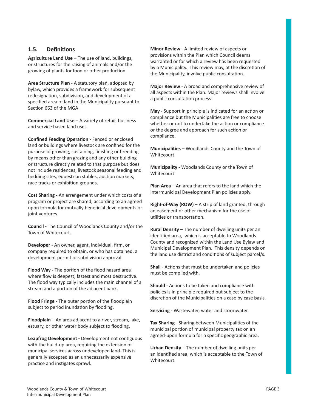# 1.5. Definitions

**Agriculture Land Use** – The use of land, buildings, or structures for the raising of animals and/or the growing of plants for food or other production.

**Area Structure Plan** - A statutory plan, adopted by bylaw, which provides a framework for subsequent redesignation, subdivision, and development of a specified area of land in the Municipality pursuant to Section 663 of the MGA.

**Commercial Land Use** – A variety of retail, business and service based land uses.

**Confined Feeding Operation - Fenced or enclosed** land or buildings where livestock are confined for the purpose of growing, sustaining, finishing or breeding by means other than grazing and any other building or structure directly related to that purpose but does not include residences, livestock seasonal feeding and bedding sites, equestrian stables, auction markets, race tracks or exhibition grounds.

**Cost Sharing** - An arrangement under which costs of a program or project are shared, according to an agreed upon formula for mutually beneficial developments or joint ventures.

**Council -** The Council of Woodlands County and/or the Town of Whitecourt.

**Developer** - An owner, agent, individual, firm, or company required to obtain, or who has obtained, a development permit or subdivision approval.

**Flood Way - The portion of the flood hazard area** where flow is deepest, fastest and most destructive. The flood way typically includes the main channel of a stream and a portion of the adjacent bank.

**Flood Fringe** - The outer portion of the floodplain subject to period inundation by flooding.

**Floodplain** – An area adjacent to a river, stream, lake, estuary, or other water body subject to flooding.

**Leapfrog Development - Development not contiguous** with the build-up area, requiring the extension of municipal services across undeveloped land. This is generally accepted as an unnecassarily expensive practice and instigates sprawl.

**Minor Review** - A limited review of aspects or provisions within the Plan which Council deems warranted or for which a review has been requested by a Municipality. This review may, at the discretion of the Municipality, involve public consultation.

**Major Review** - A broad and comprehensive review of all aspects within the Plan. Major reviews shall involve a public consultation process.

**May** - Support in principle is indicated for an action or compliance but the Municipalities are free to choose whether or not to undertake the action or compliance or the degree and approach for such action or compliance.

**Municipalities** – Woodlands County and the Town of Whitecourt.

**Municipality** - Woodlands County or the Town of Whitecourt.

**Plan Area** – An area that refers to the land which the Intermunicipal Development Plan policies apply.

**Right-of-Way (ROW)** – A strip of land granted, through an easement or other mechanism for the use of utilities or transportation.

**Rural Density** – The number of dwelling units per an identified area, which is acceptable to Woodlands County and recognized within the Land Use Bylaw and Municipal Development Plan. This density depends on the land use district and conditions of subject parcel/s.

**Shall** - Actions that must be undertaken and policies must be complied with.

**Should** - Actions to be taken and compliance with policies is in principle required but subject to the discretion of the Municipalities on a case by case basis.

**Servicing** - Wastewater, water and stormwater.

Tax Sharing - Sharing between Municipalities of the municipal portion of municipal property tax on an agreed-upon formula for a specific geographic area.

**Urban Density** – The number of dwelling units per an identified area, which is acceptable to the Town of Whitecourt.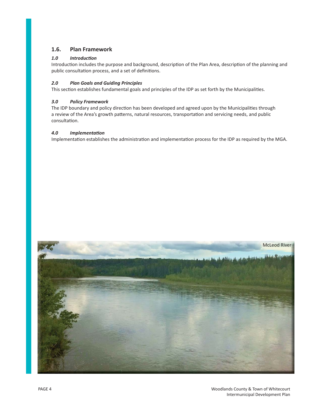# **1.6. Plan Framework**

#### *1.0 IntroducƟ on*

Introduction includes the purpose and background, description of the Plan Area, description of the planning and public consultation process, and a set of definitions.

# *2.0 Plan Goals and Guiding Principles*

This section establishes fundamental goals and principles of the IDP as set forth by the Municipalities.

#### *3.0 Policy Framework*

The IDP boundary and policy direction has been developed and agreed upon by the Municipalities through a review of the Area's growth patterns, natural resources, transportation and servicing needs, and public consultation.

#### *4.0 ImplementaƟ on*

Implementation establishes the administration and implementation process for the IDP as required by the MGA.

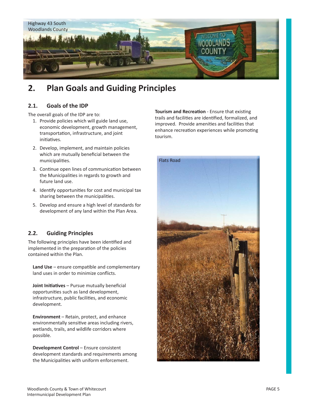

# **2. Plan Goals and Guiding Principles**

# **2.1. Goals of the IDP**

The overall goals of the IDP are to:

- 1. Provide policies which will guide land use, economic development, growth management, transportation, infrastructure, and joint initiatives.
- 2. Develop, implement, and maintain policies which are mutually beneficial between the municipalities.
- 3. Continue open lines of communication between the Municipalities in regards to growth and future land use.
- 4. Identify opportunities for cost and municipal tax sharing between the municipalities.
- 5. Develop and ensure a high level of standards for development of any land within the Plan Area.

# **2.2. Guiding Principles**

The following principles have been identified and implemented in the preparation of the policies contained within the Plan.

Land Use – ensure compatible and complementary land uses in order to minimize conflicts.

**Joint Initiatives** – Pursue mutually beneficial opportunities such as land development, infrastructure, public facilities, and economic development.

**Environment** – Retain, protect, and enhance environmentally sensitive areas including rivers, wetlands, trails, and wildlife corridors where possible.

**Development Control** – Ensure consistent development standards and requirements among the Municipalities with uniform enforcement.

**Tourism and Recreation - Ensure that existing** trails and facilities are identified, formalized, and improved. Provide amenities and facilities that enhance recreation experiences while promoting tourism.

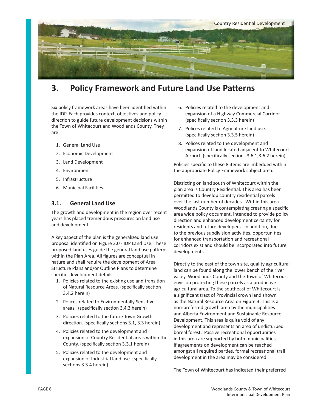

# **3.** Policy Framework and Future Land Use Patterns

Six policy framework areas have been identified within the IDP. Each provides context, objectives and policy direction to guide future development decisions within the Town of Whitecourt and Woodlands County. They are:

- 1. General Land Use
- 2. Economic Development
- 3. Land Development
- 4. Environment
- 5. Infrastructure
- 6. Municipal Facilities

# **3.1. General Land Use**

The growth and development in the region over recent years has placed tremendous pressures on land use and development.

A key aspect of the plan is the generalized land use proposal identified on Figure 3.0 - IDP Land Use. These proposed land uses guide the general land use patterns within the Plan Area. All figures are conceptual in nature and shall require the development of Area Structure Plans and/or Outline Plans to determine specific development details.

- 1. Policies related to the existing use and transition of Natural Resource Areas. (specifically section 3.4.2 herein)
- 2. Polices related to Environmentally Sensitive areas. (specifically section 3.4.3 herein)
- 3. Policies related to the future Town Growth direction. (specifically sections 3.1, 3.3 herein)
- 4. Policies related to the development and expansion of Country Residential areas within the County. (specifically section 3.3.1 herein)
- 5. Policies related to the development and expansion of Industrial land use. (specifically sections 3.3.4 herein)
- 6. Policies related to the development and expansion of a Highway Commercial Corridor. (specifically section 3.3.3 herein)
- 7. Polices related to Agriculture land use. (specifically section 3.3.5 herein)
- 8. Polices related to the development and expansion of land located adjacent to Whitecourt Airport. (specifically sections 3.6.1,3.6.2 herein)

Policies specific to these 8 items are imbedded within the appropriate Policy Framework subject area.

Districting on land south of Whitecourt within the plan area is Country Residential. This area has been permitted to develop country residential parcels over the last number of decades. Within this area Woodlands County is contemplating creating a specific area wide policy document, intended to provide policy direction and enhanced development certainty for residents and future developers. In addition, due to the previous subdivision activities, opportunities for enhanced transportation and recreational corridors exist and should be incorporated into future developments.

Directly to the east of the town site, quality agricultural land can be found along the lower bench of the river valley. Woodlands County and the Town of Whitecourt envision protecting these parcels as a productive agricultural area. To the southeast of Whitecourt is a significant tract of Provincial crown land shown as the Natural Resource Area on Figure 3. This is a non-preferred growth area by the municipalities and Alberta Environment and Sustainable Resource Development. This area is quite void of any development and represents an area of undisturbed boreal forest. Passive recreational opportunities in this area are supported by both municipalities. If agreements on development can be reached amongst all required parties, formal recreational trail development in the area may be considered.

The Town of Whitecourt has indicated their preferred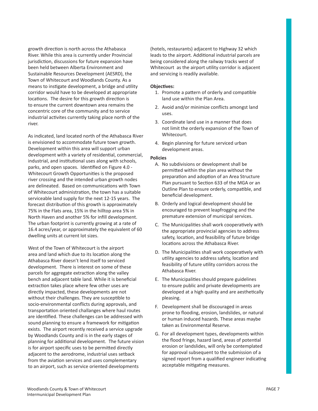growth direction is north across the Athabasca River. While this area is currently under Provincial jurisdiction, discussions for future expansion have been held between Alberta Environment and Sustainable Resources Development (AESRD), the Town of Whitecourt and Woodlands County. As a means to instigate development, a bridge and utility corridor would have to be developed at appropriate locations. The desire for this growth direction is to ensure the current downtown area remains the concentric core of the community and to service industrial activites currently taking place north of the river.

As indicated, land located north of the Athabasca River is envisioned to accommodate future town growth. Development within this area will support urban development with a variety of residential, commercial, industrial, and institutional uses along with schools, parks, and open spaces. Identified on Figure 4.0 -Whitecourt Growth Opportunities is the proposed river crossing and the intended urban growth nodes are delineated. Based on communications with Town of Whitecourt administration, the town has a suitable serviceable land supply for the next 12-15 years. The forecast distribution of this growth is approximately 75% in the Flats area, 15% in the hilltop area 5% in North Haven and another 5% for infill development. The urban footprint is currently growing at a rate of 16.4 acres/year, or approximately the equivalent of 60 dwelling units at current lot sizes.

West of the Town of Whitecourt is the airport area and land which due to its location along the Athabasca River doesn't lend itself to serviced development. There is interest on some of these parcels for aggregate extraction along the valley bench and adjacent table land. While it is beneficial extraction takes place where few other uses are directly impacted, these developments are not without their challenges. They are susceptible to socio-environmental conflicts during approvals, and transportation oriented challanges where haul routes are identified. These challenges can be addressed with sound planning to ensure a framework for mitigation exists. The airport recently received a service upgrade by Woodlands County and is in the early stages of planning for additional development. The future vision is for airport specific uses to be permitted directly adjacent to the aerodrome, industrial uses setback from the aviation services and uses complementary to an airport, such as service oriented developments

(hotels, restaurants) adjacent to Highway 32 which leads to the airport. Additional industrial parcels are being considered along the railway tracks west of Whitecourt as the airport utility corridor is adjacent and servicing is readily available.

#### **ObjecƟ ves:**

- 1. Promote a pattern of orderly and compatible land use within the Plan Area.
- 2. Avoid and/or minimize conflicts amongst land uses.
- 3. Coordinate land use in a manner that does not limit the orderly expansion of the Town of Whitecourt.
- 4. Begin planning for future serviced urban development areas.

- A. No subdivisions or development shall be permitted within the plan area without the preparation and adoption of an Area Structure Plan pursuant to Section 633 of the MGA or an Outline Plan to ensure orderly, compatible, and beneficial development.
- B. Orderly and logical development should be encouraged to prevent leapfrogging and the premature extension of municipal services.
- C. The Municipalities shall work cooperatively with the appropriate provincial agencies to address safety, location, and feasibility of future bridge locations across the Athabasca River.
- D. The Municipalities shall work cooperatively with utility agencies to address safety, location and feasibility of future utility corridors across the Athabasca River.
- E. The Municipalities should prepare guidelines to ensure public and private developments are developed at a high quality and are aesthetically pleasing.
- F. Development shall be discouraged in areas prone to flooding, erosion, landslides, or natural or human induced hazards. These areas maybe taken as Environmental Reserve.
- G. For all development types, developments within the flood fringe, hazard land, areas of potential erosion or landslides, will only be contemplated for approval subsequent to the submission of a signed report from a qualified engineer indicating acceptable mitigating measures.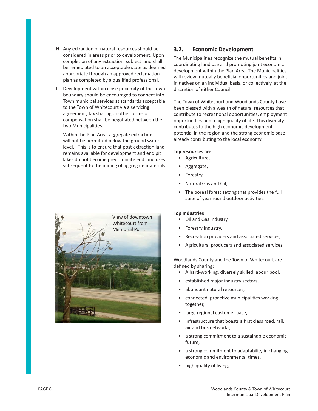- H. Any extraction of natural resources should be considered in areas prior to development. Upon completion of any extraction, subject land shall be remediated to an acceptable state as deemed appropriate through an approved reclamation plan as completed by a qualified professional.
- I. Development within close proximity of the Town boundary should be encouraged to connect into Town municipal services at standards acceptable to the Town of Whitecourt via a servicing agreement; tax sharing or other forms of compensation shall be negotiated between the two Municipalities.
- J. Within the Plan Area, aggregate extraction will not be permitted below the ground water level. This is to ensure that post extraction land remains available for development and end pit lakes do not become predominate end land uses subsequent to the mining of aggregate materials.



# **3.2. Economic Development**

The Municipalities recognize the mutual benefits in coordinating land use and promoting joint economic development within the Plan Area. The Municipalities will review mutually beneficial opportunities and joint initiatives on an individual basis, or collectively, at the discretion of either Council.

The Town of Whitecourt and Woodlands County have been blessed with a wealth of natural resources that contribute to recreational opportunities, employment opportunities and a high quality of life. This diversity contributes to the high economic development potential in the region and the strong economic base already contributing to the local economy.

#### **Top resources are:**

- Agriculture,
- Aggregate,
- Forestry,
- Natural Gas and Oil,
- The boreal forest setting that provides the full suite of year round outdoor activities.

#### **Top Industries**

- Oil and Gas Industry,
- Forestry Industry,
- Recreation providers and associated services,
- Agricultural producers and associated services.

Woodlands County and the Town of Whitecourt are defined by sharing:

- A hard-working, diversely skilled labour pool,
- established major industry sectors,
- abundant natural resources,
- connected, proactive municipalities working together,
- large regional customer base,
- infrastructure that boasts a first class road, rail, air and bus networks,
- a strong commitment to a sustainable economic future,
- a strong commitment to adaptability in changing economic and environmental times,
- high quality of living,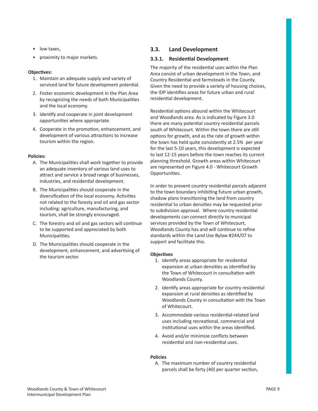- low taxes,
- proximity to major markets.

#### **ObjecƟ ves:**

- 1. Maintain an adequate supply and variety of serviced land for future development potential.
- 2. Foster economic development in the Plan Area by recognizing the needs of both Municipalities and the local economy.
- 3. Identify and cooperate in joint development opportunities where appropriate.
- 4. Cooperate in the promotion, enhancement, and development of various attractions to increase tourism within the region.

#### **Policies:**

- A. The Municipalities shall work together to provide an adequate inventory of various land uses to attract and service a broad range of businesses, industries, and residential development.
- B. The Municipalities should cooperate in the diversification of the local economy. Activities not related to the foresty and oil and gas sector including: agriculture, manufacturing, and tourism, shall be strongly encouraged.
- C. The forestry and oil and gas sectors will continue to be supported and appreciated by both Municipalities.
- D. The Municipalities should cooperate in the development, enhancement, and advertising of the tourism sector.

# **3.3. Land Development**

## **3.3.1.** Residential Development

The majority of the residential uses within the Plan Area consist of urban development in the Town, and Country Residential and farmsteads in the County. Given the need to provide a variety of housing choices, the IDP identifies areas for future urban and rural residential development.

Residential options abound within the Whitecourt and Woodlands area. As is indicated by Figure 3.0 there are many potential country residential parcels south of Whitecourt. Within the town there are still options for growth, and as the rate of growth within the town has held quite consistently at 2.5% per year for the last 5-10 years, this development is expected to last 12-15 years before the town reaches its current planning threshold. Growth areas within Whitecourt are represented on Figure 4.0 - Whitecourt Growth Opportunities.

In order to prevent country residential parcels adjacent to the town boundary inhibiting future urban growth, shadow plans transitioning the land from country residential to urban densities may be requested prior to subdivision approval. Where country residential developments can connect directly to municipal services provided by the Town of Whitecourt, Woodlands County has and will continue to refine standards within the Land Use Bylaw #244/07 to support and facilitate this.

#### **ObjecƟ ves**

- 1. Identify areas appropriate for residential expansion at urban densities as identified by the Town of Whitecourt in consultation with Woodlands County.
- 2. Identify areas appropriate for country residential expansion at rural densities as identified by Woodlands County in consultation with the Town of Whitecourt.
- 3. Accommodate various residential-related land uses including recreational, commercial and institutional uses within the areas identified.
- 4. Avoid and/or minimize conflicts between residential and non-residential uses.

#### **Policies**

A. The maximum number of country residential parcels shall be forty (40) per quarter section,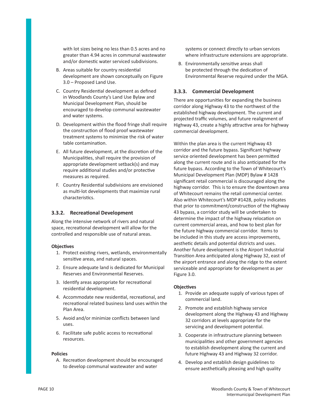with lot sizes being no less than 0.5 acres and no greater than 4.94 acres in communal wastewater and/or domestic water serviced subdivisions.

- B. Areas suitable for country residential development are shown conceptually on Figure 3.0 – Proposed Land Use.
- C. Country Residential development as defined in Woodlands County's Land Use Bylaw and Municipal Development Plan, should be encouraged to develop communal wastewater and water systems.
- D. Development within the flood fringe shall require the construction of flood proof wastewater treatment systems to minimize the risk of water table contamination.
- E. All future development, at the discretion of the Municipalities, shall require the provision of appropriate development setback(s) and may require additional studies and/or protective measures as required.
- F. Country Residential subdivisions are envisioned as multi-lot developments that maximize rural characteristics.

#### **3.3.2.** Recreational Development

Along the intensive network of rivers and natural space, recreational development will allow for the controlled and responsible use of natural areas.

#### **ObjecƟ ves**

- 1. Protect existing rivers, wetlands, environmentally sensitive areas, and natural spaces.
- 2. Ensure adequate land is dedicated for Municipal Reserves and Environmental Reserves.
- 3. Identify areas appropriate for recreational residential development.
- 4. Accommodate new residential, recreational, and recreational related business land uses within the Plan Area.
- 5. Avoid and/or minimize conflicts between land uses.
- 6. Facilitate safe public access to recreational resources.

#### **Policies**

A. Recreation development should be encouraged to develop communal wastewater and water

systems or connect directly to urban services where infrastructure extensions are appropriate.

B. Environmentally sensitive areas shall be protected through the dedication of Environmental Reserve required under the MGA.

#### **3.3.3. Commercial Development**

There are opportunities for expanding the business corridor along Highway 43 to the northwest of the established highway development. The current and projected traffic volumes, and future realignment of Highway 43, create a highly attractive area for highway commercial development.

Within the plan area is the current Highway 43 corridor and the future bypass. Significant highway service oriented development has been permitted along the current route and is also anticipated for the future bypass. According to the Town of Whitecourt's Municipal Development Plan (MDP) Bylaw # 1428 significant retail commercial is discouraged along the highway corridor. This is to ensure the downtown area of Whitecourt remains the retail commercial center. Also within Whitecourt's MDP #1428, policy indicates that prior to commitment/construction of the Highway 43 bypass, a corridor study will be undertaken to determine the impact of the highway relocation on current commercial areas, and how to best plan for the future highway commercial corridor. Items to be included in this study are access improvements, aesthetic details and potential districts and uses. Another future development is the Airport Industrial Transition Area anticipated along Highway 32, east of the airport entrance and along the ridge to the extent serviceable and appropriate for development as per Figure 3.0.

#### **ObjecƟ ves**

- 1. Provide an adequate supply of various types of commercial land.
- 2. Promote and establish highway service development along the Highway 43 and Highway 32 corridors at levels appropriate for the servicing and development potential.
- 3. Cooperate in infrastructure planning between municipalities and other government agencies to establish development along the current and future Highway 43 and Highway 32 corridor.
- 4. Develop and establish design guidelines to ensure aesthetically pleasing and high quality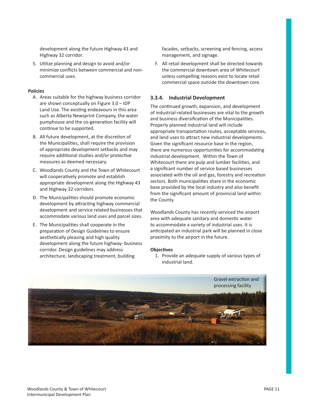development along the future Highway 43 and Highway 32 corridor.

5. Utilize planning and design to avoid and/or minimize conflicts between commercial and noncommercial uses.

#### **Policies**

- A. Areas suitable for the highway business corridor are shown conceptually on Figure 3.0 – IDP Land Use. The existing endeavours in this area such as Alberta Newsprint Company, the water pumphouse and the co-generation facility will continue to be supported.
- B. All future development, at the discretion of the Municipalities, shall require the provision of appropriate development setbacks and may require additional studies and/or protective measures as deemed necessary.
- C. Woodlands County and the Town of Whitecourt will cooperatively promote and establish appropriate development along the Highway 43 and Highway 32 corridors.
- D. The Municipalities should promote economic development by attracting highway commercial development and service related businesses that accommodate various land uses and parcel sizes.
- E. The Municipalities shall cooperate in the preparation of Design Guidelines to ensure aesthetically pleasing and high quality development along the future highway- business corridor. Design guidelines may address architecture, landscaping treatment, building

facades, setbacks, screening and fencing, access management, and signage.

F. All retail development shall be directed towards the commercial downtown area of Whitecourt unless compelling reasons exist to locate retail commercial space outside the downtown core.

#### **3.3.4. Industrial Development**

The continued growth, expansion, and development of industrial-related businesses are vital to the growth and business diversification of the Municipalities. Properly planned industrial land will include appropriate transportation routes, acceptable services, and land uses to attract new industrial developments. Given the significant resource base in the region, there are numerous opportunities for accommodating industrial development. Within the Town of Whitecourt there are pulp and lumber facilities, and a significant number of service based businesses associated with the oil and gas, forestry and recreation sectors. Both municipalities share in the economic base provided by the local industry and also benefit from the significant amount of provincial land within the County.

Woodlands County has recently serviced the airport area with adequate sanitary and domestic water to accommodate a variety of industrial uses. It is anticipated an industrial park will be planned in close proximity to the airport in the future.

#### **ObjecƟ ves**

1. Provide an adequate supply of various types of industrial land.

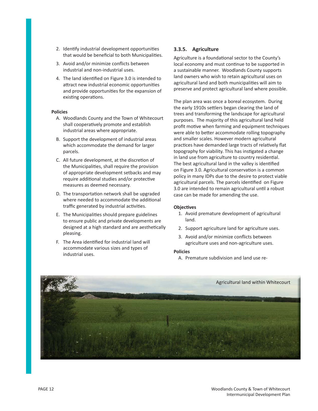- 2. Identify industrial development opportunities that would be beneficial to both Municipalities.
- 3. Avoid and/or minimize conflicts between industrial and non-industrial uses.
- 4. The land identified on Figure 3.0 is intended to attract new industrial economic opportunities and provide opportunities for the expansion of existing operations.

#### **Policies**

- A. Woodlands County and the Town of Whitecourt shall cooperatively promote and establish industrial areas where appropriate.
- B. Support the development of industrial areas which accommodate the demand for larger parcels.
- C. All future development, at the discretion of the Municipalities, shall require the provision of appropriate development setbacks and may require additional studies and/or protective measures as deemed necessary.
- D. The transportation network shall be upgraded where needed to accommodate the additional traffic generated by industrial activities.
- E. The Municipalities should prepare guidelines to ensure public and private developments are designed at a high standard and are aesthetically pleasing.
- F. The Area identified for industrial land will accommodate various sizes and types of industrial uses.

#### **3.3.5. Agriculture**

Agriculture is a foundational sector to the County's local economy and must continue to be supported in a sustainable manner. Woodlands County supports land owners who wish to retain agricultural uses on agricultural land and both municipalities will aim to preserve and protect agricultural land where possible.

The plan area was once a boreal ecosystem. During the early 1910s settlers began clearing the land of trees and transforming the landscape for agricultural purposes. The majority of this agricultural land held profit motive when farming and equipment techniques were able to better accommodate rolling topography and smaller scales. However modern agricultural practices have demanded large tracts of relatively flat topography for viability. This has instigated a change in land use from agriculture to country residential. The best agricultural land in the valley is identified on Figure 3.0. Agricultural conservation is a common policy in many IDPs due to the desire to protect viable agricultural parcels. The parcels identified on Figure 3.0 are intended to remain agricultural until a robust case can be made for amending the use.

#### **ObjecƟ ves**

- 1. Avoid premature development of agricultural land.
- 2. Support agriculture land for agriculture uses.
- 3. Avoid and/or minimize conflicts between agriculture uses and non-agriculture uses.

#### **Policies**

A. Premature subdivision and land use re-

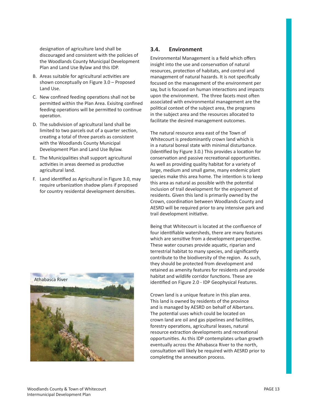designation of agriculture land shall be discouraged and consistent with the policies of the Woodlands County Municipal Development Plan and Land Use Bylaw and this IDP.

- B. Areas suitable for agricultural activities are shown conceptually on Figure 3.0 – Proposed Land Use.
- C. New confined feeding operations shall not be permitted within the Plan Area. Exisitng confined feeding operations will be permitted to continue operation.
- D. The subdivision of agricultural land shall be limited to two parcels out of a quarter section, creating a total of three parcels as consistent with the Woodlands County Municipal Development Plan and Land Use Bylaw.
- E. The Municipalities shall support agricultural activities in areas deemed as productive agricultural land.
- F. Land identified as Agricultural in Figure 3.0, may require urbanization shadow plans if proposed for country residental development densities.



# **3.4. Environment**

Environmental Management is a field which offers insight into the use and conservation of natural resources, protection of habitats, and control and management of natural hazards. It is not specifically focused on the management of the environment per say, but is focused on human interactions and impacts upon the environment. The three facets most often associated with environmental management are the political context of the subject area, the programs in the subject area and the resources allocated to facilitate the desired management outcomes.

The natural resource area east of the Town of Whitecourt is predominantly crown land which is in a natural boreal state with minimal disturbance. (Identified by Figure 3.0.) This provides a location for conservation and passive recreational opportunities. As well as providing quality habitat for a variety of large, medium and small game, many endemic plant species make this area home. The intention is to keep this area as natural as possible with the potential inclusion of trail development for the enjoyment of residents. Given this land is primarily owned by the Crown, coordination between Woodlands County and AESRD will be required prior to any intensive park and trail development initiative.

Being that Whitecourt is located at the confluence of four identifiable watersheds, there are many features which are sensitive from a development perspective. These water courses provide aquatic, riparian and terrestrial habitat to many species, and significantly contribute to the biodiversity of the region. As such, they should be protected from development and retained as amenity features for residents and provide habitat and wildlife corridor functions. These are identified on Figure 2.0 - IDP Geophysical Features.

Crown land is a unique feature in this plan area. This land is owned by residents of the province and is managed by AESRD on behalf of Albertans. The potential uses which could be located on crown land are oil and gas pipelines and facilities, forestry operations, agricultural leases, natural resource extraction developments and recreational opportunities. As this IDP contemplates urban growth eventually across the Athabasca River to the north, consultation will likely be required with AESRD prior to completing the annexation process.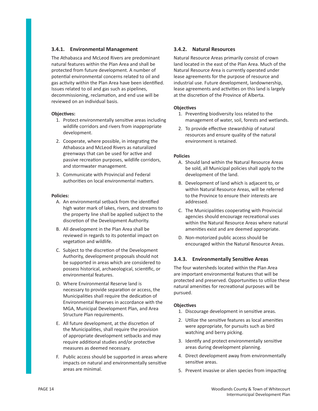#### **3.4.1. Environmental Management**

The Athabasca and McLeod Rivers are predominant natural features within the Plan Area and shall be protected from future development. A number of potential environmental concerns related to oil and gas activity within the Plan Area have been identified. Issues related to oil and gas such as pipelines, decommissioning, reclamation, and end use will be reviewed on an individual basis.

#### **ObjecƟ ves:**

- 1. Protect environmentally sensitive areas including wildlife corridors and rivers from inappropriate development.
- 2. Cooperate, where possible, in integrating the Athabasca and McLeod Rivers as naturalized greenways that can be used for active and passive recreation purposes, wildlife corridors, and stormwater management.
- 3. Communicate with Provincial and Federal authorities on local environmental matters.

#### **Policies:**

- A. An environmental setback from the identified high water mark of lakes, rivers, and streams to the property line shall be applied subject to the discretion of the Development Authority.
- B. All development in the Plan Area shall be reviewed in regards to its potential impact on vegetation and wildlife.
- C. Subject to the discretion of the Development Authority, development proposals should not be supported in areas which are considered to possess historical, archaeological, scientific, or environmental features.
- D. Where Environmental Reserve land is necessary to provide separation or access, the Municipalities shall require the dedication of Environmental Reserves in accordance with the MGA, Municipal Development Plan, and Area Structure Plan requirements.
- E. All future development, at the discretion of the Municipalities, shall require the provision of appropriate development setbacks and may require additional studies and/or protective measures as deemed necessary.
- F. Public access should be supported in areas where impacts on natural and environmentally sensitive areas are minimal.

#### **3.4.2. Natural Resources**

Natural Resource Areas primarily consist of crown land located in the east of the Plan Area. Much of the Natural Resource Area is currently operated under lease agreements for the purpose of resource and industrial use. Future development, landownership, lease agreements and activities on this land is largely at the discretion of the Province of Alberta.

#### **ObjecƟ ves**

- 1. Preventing biodiversity loss related to the management of water, soil, forests and wetlands.
- 2. To provide effective stewardship of natural resources and ensure quality of the natural environment is retained.

#### **Policies**

- A. Should land within the Natural Resource Areas be sold, all Municipal policies shall apply to the development of the land.
- B. Development of land which is adjacent to, or within Natural Resource Areas, will be referred to the Province to ensure their interests are addressed.
- C. The Municipalities cooperating with Provincial agencies should encourage recreational uses within the Natural Resource Areas where natural amenities exist and are deemed appropriate.
- D. Non-motorized public access should be encouraged within the Natural Resource Areas.

# **3.4.3.** Environmentally Sensitive Areas

The four watersheds located within the Plan Area are important environmental features that will be protected and preserved. Opportunities to utilize these natural amenities for recreational purposes will be pursued.

#### **ObjecƟ ves**

- 1. Discourage development in sensitive areas.
- 2. Utilize the sensitive features as local amenities were appropriate, for pursuits such as bird watching and berry picking.
- 3. Identify and protect environmentally sensitive areas during development planning.
- 4. Direct development away from environmentally sensitive areas.
- 5. Prevent invasive or alien species from impacting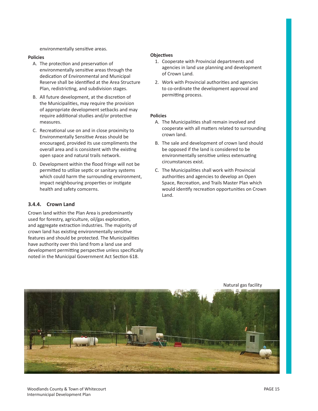environmentally sensitive areas.

#### **Policies**

- A. The protection and preservation of environmentally sensitive areas through the dedication of Environmental and Municipal Reserve shall be identified at the Area Structure Plan, redistricting, and subdivision stages.
- B. All future development, at the discretion of the Municipalities, may require the provision of appropriate development setbacks and may require additional studies and/or protective measures.
- C. Recreational use on and in close proximity to Environmentally Sensitive Areas should be encouraged, provided its use compliments the overall area and is consistent with the existing open space and natural trails network.
- D. Development within the flood fringe will not be permitted to utilize septic or sanitary systems which could harm the surrounding environment, impact neighbouring properties or instigate health and safety comcerns.

#### **3.4.4. Crown Land**

Crown land within the Plan Area is predominantly used for forestry, agriculture, oil/gas exploration, and aggregate extraction industries. The majority of crown land has existing environmentally sensitive features and should be protected. The Municipalities have authority over this land from a land use and development permitting perspective unless specifically noted in the Municipal Government Act Section 618.

#### **ObjecƟ ves**

- 1. Cooperate with Provincial departments and agencies in land use planning and development of Crown Land.
- 2. Work with Provincial authorities and agencies to co-ordinate the development approval and permitting process.

#### **Policies**

- A. The Municipalities shall remain involved and cooperate with all matters related to surrounding crown land.
- B. The sale and development of crown land should be opposed if the land is considered to be environmentally sensitive unless extenuating circumstances exist.
- C. The Municipalities shall work with Provincial authorities and agencies to develop an Open Space, Recreation, and Trails Master Plan which would identify recreation opportunities on Crown Land.



Natural gas facility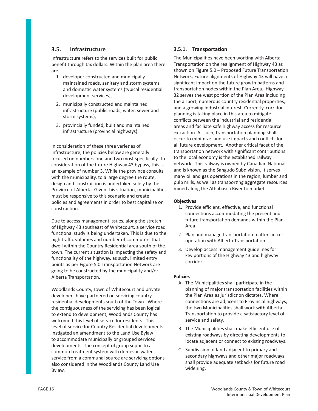# **3.5. Infrastructure**

Infrastructure refers to the services built for public benefit through tax dollars. Within the plan area there are:

- 1. developer constructed and municipally maintained roads, sanitary and storm systems and domestic water systems (typical residential development services),
- 2. municipally constructed and maintained infrastructure (public roads, water, sewer and storm systems),
- 3. provincially funded, built and maintained infrastructure (provincial highways).

In consideration of these three varieties of infrastructure, the policies below are generally focused on numbers one and two most specifically. In consideration of the future Highway 43 bypass, this is an example of number 3. While the province consults with the municipality, to a large degree the route, design and construction is undertaken solely by the Province of Alberta. Given this situation, municipalities must be responsive to this scenario and create policies and agreements in order to best capitalize on construction.

Due to access management issues, along the stretch of Highway 43 southeast of Whitecourt, a service road functional study is being undertaken. This is due to the high traffic volumes and number of commuters that dwell within the Country Residential area south of the town. The current situation is impacting the safety and functionality of the highway, as such, limited entry points as per Figure 5.0 Transportation Network are going to be constructed by the municipality and/or Alberta Transportation.

Woodlands County, Town of Whitecourt and private developers have partnered on servicing country residential developments south of the Town. Where the contiguousness of the servicing has been logical to extend to development, Woodlands County has welcomed this level of service for residents. This level of service for Country Residential developments instigated an amendment to the Land Use Bylaw to accommodate municipally or grouped serviced developments. The concept of group septic to a common treatment system with domestic water service from a communal source are servicing options also considered in the Woodlands County Land Use Bylaw.

#### **3.5.1. TransportaƟ on**

The Municipalities have been working with Alberta Transportation on the realignment of Highway 43 as shown on Figure  $5.0$  – Proposed Future Transportation Network. Future alignments of Highway 43 will have a significant impact on the future growth patterns and transportation nodes within the Plan Area. Highway 32 serves the west portion of the Plan Area including the airport, numerous country residential properties, and a growing industrial interest. Currently, corridor planning is taking place in this area to mitigate conflicts between the industrial and residential areas and faciliate safe highway access for resource extraction. As such, transportation planning shall occur to minimize land use impacts and conflicts for all future development. Another critical facet of the transportation network with significant contributions to the local economy is the established railway network. This railway is owned by Canadian National and is known as the Sangudo Subdivision. It serves many oil and gas operations in the region, lumber and pulp mills, as well as transporting aggregate resources mined along the Athabasca River to market.

#### **ObjecƟ ves**

- 1. Provide efficient, effective, and functional connections accommodating the present and future transportation demands within the Plan Area.
- 2. Plan and manage transportation matters in cooperation with Alberta Transportation.
- 3. Develop access management guidelines for key portions of the Highway 43 and highway corridor.

- A. The Municipalities shall participate in the planning of major transportation facilities within the Plan Area as jurisdiction dictates. Where connections are adjacent to Provincial highways, the two Municipalities shall work with Alberta Transportation to provide a satisfactory level of service and safety.
- B. The Municipalities shall make efficient use of existing roadways by directing developments to locate adjacent or connect to existing roadways.
- C. Subdivision of land adjacent to primary and secondary highways and other major roadways shall provide adequate setbacks for future road widening.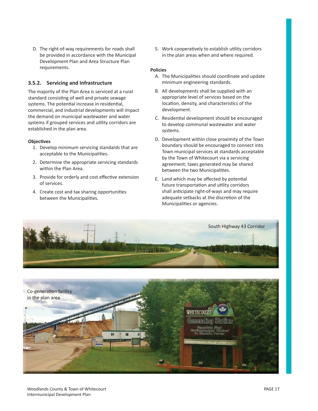D. The right-of-way requirements for roads shall be provided in accordance with the Municipal Development Plan and Area Structure Plan requirements.

## **3.5.2. Servicing and Infrastructure**

The majority of the Plan Area is serviced at a rural standard consisting of well and private sewage systems. The potential increase in residential, commercial, and industrial developments will impact the demand on municipal wastewater and water systems if grouped services and utility corridors are established in the plan area.

#### **ObjecƟ ves**

- 1. Develop minimum servicing standards that are acceptable to the Municipalities.
- 2. Determine the appropriate servicing standards within the Plan Area.
- 3. Provide for orderly and cost effective extension of services.
- 4. Create cost and tax sharing opportunities between the Municipalities.

5. Work cooperatively to establish utility corridors in the plan areas when and where required.

- A. The Municipalities should coordinate and update minimum engineering standards.
- B. All developments shall be supplied with an appropriate level of services based on the location, density, and characteristics of the development.
- C. Residential development should be encouraged to develop communal wastewater and water systems.
- D. Development within close proximity of the Town boundary should be encouraged to connect into Town municipal services at standards acceptable by the Town of Whitecourt via a servicing agreement; taxes generated may be shared between the two Municipalities.
- E. Land which may be affected by potential future transportation and utility corridors shall anticipate right-of-ways and may require adequate setbacks at the discretion of the Municipalities or agencies.



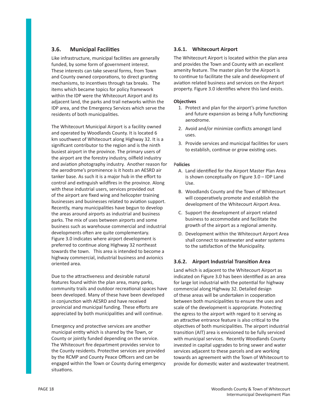# **3.6.** Municipal Facilities

Like infrastructure, municipal facilities are generally funded, by some form of government interest. These interests can take several forms, from Town and County owned corporations, to direct granting mechanisms, to incentives through tax breaks. The items which became topics for policy framework within the IDP were the Whitecourt Airport and its adjacent land, the parks and trail networks within the IDP area, and the Emergency Services which serve the residents of both municipalities.

The Whitecourt Municipal Airport is a facility owned and operated by Woodlands County. It is located 6 km southwest of Whitecourt along Highway 32. It is a significant contributor to the region and is the ninth busiest airport in the province. The primary users of the airport are the forestry industry, oilfield industry and aviation photography industry. Another reason for the aerodrome's prominence is it hosts an AESRD air tanker base. As such it is a major hub in the effort to control and extinguish wildfires in the province. Along with these industrial users, services provided out of the airport are fixed wing and helicopter training businesses and businesses related to aviation support. Recently, many municipalities have begun to develop the areas around airports as industrial and business parks. The mix of uses between airports and some business such as warehouse commercial and industrial developments often are quite complementary. Figure 3.0 indicates where airport development is preferred to continue along Highway 32 northeast towards the town. This area is intended to become a highway commercial, industrial business and avionics oriented area.

Due to the attractiveness and desirable natural features found within the plan area, many parks, community trails and outdoor recreational spaces have been developed. Many of these have been developed in conjunction with AESRD and have received provincial and municipal funding. These efforts are appreciated by both municipalities and will continue.

Emergency and protective services are another municipal entity which is shared by the Town, or County or jointly funded depending on the service. The Whitecourt fire department provides service to the County residents. Protective services are provided by the RCMP and County Peace Officers and can be engaged within the Town or County during emergency situations.

#### **3.6.1. Whitecourt Airport**

The Whitecourt Airport is located within the plan area and provides the Town and County with an excellent amenity feature. The master plan for the Airport is to continue to facilitate the sale and development of aviation related business and services on the Airport property. Figure 3.0 identifies where this land exists.

#### **ObjecƟ ves**

- 1. Protect and plan for the airport's prime function and future expansion as being a fully functioning aerodrome.
- 2. Avoid and/or minimize conflicts amongst land uses.
- 3. Provide services and municipal facilities for users to establish, continue or grow existing uses.

#### P**olicies**

- A. Land identified for the Airport Master Plan Area is shown conceptually on Figure 3.0 – IDP Land Use.
- B. Woodlands County and the Town of Whitecourt will cooperatively promote and establish the development of the Whitecourt Airport Area.
- C. Support the development of airport related business to accommodate and facilitate the growth of the airport as a regional amenity.
- D. Development within the Whitecourt Airport Area shall connect to wastewater and water systems to the satisfaction of the Municipality.

#### **3.6.2.** Airport Industrial Transition Area

Land which is adjacent to the Whitecourt Airport as indicated on Figure 3.0 has been identified as an area for large lot industrial with the potential for highway commercial along Highway 32. Detailed design of these areas will be undertaken in cooperation between both municipalities to ensure the uses and scale of the development is appropriate. Protecting the egress to the airport with regard to it serving as an attractive entrance feature is also critical to the objectives of both municipalities. The airport industrial transition (AIT) area is envisioned to be fully serviced with municipal services. Recently Woodlands County invested in capital upgrades to bring sewer and water services adjacent to these parcels and are working towards an agreement with the Town of Whitecourt to provide for domestic water and wastewater treatment.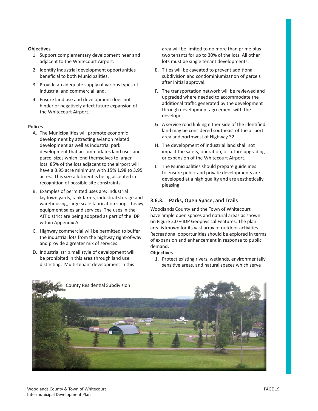#### **ObjecƟ ves**

- 1. Support complementary development near and adjacent to the Whitecourt Airport.
- 2. Identify industrial development opportunities beneficial to both Municipalities.
- 3. Provide an adequate supply of various types of industrial and commercial land.
- 4. Ensure land use and development does not hinder or negatively affect future expansion of the Whitecourt Airport.

#### **Polices**

- A. The Municipalities will promote economic development by attracting aviation related development as well as industrial park development that accommodates land uses and parcel sizes which lend themselves to larger lots. 85% of the lots adjacent to the airport will have a 3.95 acre minimum with 15% 1.98 to 3.95 acres. This size allotment is being accepted in recognition of possible site constraints.
- B. Examples of permitted uses are; industrial laydown yards, tank farms, industrial storage and warehousing, large scale fabrication shops, heavy equipment sales and services. The uses in the AIT district are being adopted as part of the IDP within Appendix A.
- C. Highway commercial will be permitted to buffer the industrial lots from the highway right-of-way and provide a greater mix of services.
- D. Industrial strip mall style of development will be prohibited in this area through land use districting. Multi-tenant development in this

area will be limited to no more than prime plus two tenants for up to 30% of the lots. All other lots must be single tenant developments.

- E. Titles will be caveated to prevent additional subdivision and condominiumization of parcels after initial approval.
- F. The transportation network will be reviewed and upgraded where needed to accommodate the additional traffic generated by the development through development agreement with the developer.
- G. A service road linking either side of the identified land may be considered southeast of the airport area and northwest of Highway 32.
- H. The development of industrial land shall not impact the safety, operation, or future upgrading or expansion of the Whitecourt Airport.
- I. The Municipalities should prepare guidelines to ensure public and private developments are developed at a high quality and are aesthetically pleasing.

# **3.6.3. Parks, Open Space, and Trails**

Woodlands County and the Town of Whitecourt have ample open spaces and natural areas as shown on Figure 2.0 – IDP Geophysical Features. The plan area is known for its vast array of outdoor activities. Recreational opportunities should be explored in terms of expansion and enhancement in response to public demand.

#### **ObjecƟ ves**

1. Protect existing rivers, wetlands, environmentally sensitive areas, and natural spaces which serve

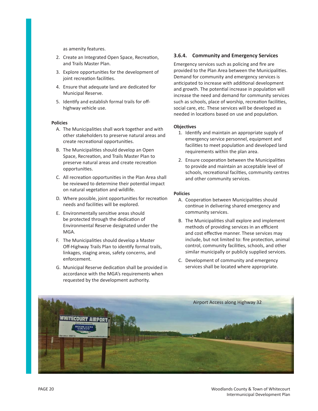as amenity features.

- 2. Create an Integrated Open Space, Recreation, and Trails Master Plan.
- 3. Explore opportunities for the development of joint recreation facilities.
- 4. Ensure that adequate land are dedicated for Municipal Reserve.
- 5. Identify and establish formal trails for offhighway vehicle use.

#### **Policies**

- A. The Municipalities shall work together and with other stakeholders to preserve natural areas and create recreational opportunities.
- B. The Municipalities should develop an Open Space, Recreation, and Trails Master Plan to preserve natural areas and create recreation opportunities.
- C. All recreation opportunities in the Plan Area shall be reviewed to determine their potential impact on natural vegetation and wildlife.
- D. Where possible, joint opportunities for recreation needs and facilities will be explored.
- E. Environmentally sensitive areas should be protected through the dedication of Environmental Reserve designated under the MGA.
- F. The Municipalities should develop a Master Off-Highway Trails Plan to identify formal trails, linkages, staging areas, safety concerns, and enforcement.
- G. Municipal Reserve dedication shall be provided in accordance with the MGA's requirements when requested by the development authority.

#### **3.6.4. Community and Emergency Services**

Emergency services such as policing and fire are provided to the Plan Area between the Municipalities. Demand for community and emergency services is anticipated to increase with additional development and growth. The potential increase in population will increase the need and demand for community services such as schools, place of worship, recreation facilities, social care, etc. These services will be developed as needed in locations based on use and population.

#### **ObjecƟ ves**

- 1. Identify and maintain an appropriate supply of emergency service personnel, equipment and facilities to meet population and developed land requirements within the plan area.
- 2. Ensure cooperation between the Municipalities to provide and maintain an acceptable level of schools, recreational facilties, community centres and other community services.

- A. Cooperation between Municipalities should continue in delivering shared emergency and community services.
- B. The Municipalities shall explore and implement methods of providing services in an efficient and cost effective manner. These services may include, but not limited to: fire protection, animal control, community facilities, schools, and other similar municipally or publicly supplied services.
- C. Development of community and emergency services shall be located where appropriate.

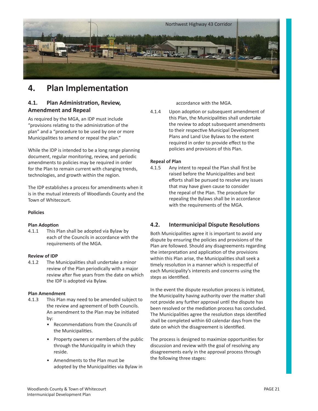

# **4.** Plan Implementation

# **4.1. Plan AdministraƟ on, Review, Amendment and Repeal**

As required by the MGA, an IDP must include "provisions relating to the administration of the plan" and a "procedure to be used by one or more Municipalities to amend or repeal the plan."

While the IDP is intended to be a long range planning document, regular monitoring, review, and periodic amendments to policies may be required in order for the Plan to remain current with changing trends, technologies, and growth within the region.

The IDP establishes a process for amendments when it is in the mutual interests of Woodlands County and the Town of Whitecourt.

#### **Policies**

#### **Plan Adoption**

4.1.1 This Plan shall be adopted via Bylaw by each of the Councils in accordance with the requirements of the MGA.

#### **Review of IDP**

4.1.2 The Municipalities shall undertake a minor review of the Plan periodically with a major review after five years from the date on which the IDP is adopted via Bylaw.

#### **Plan Amendment**

- 4.1.3 This Plan may need to be amended subject to the review and agreement of both Councils. An amendment to the Plan may be initiated by:
	- Recommendations from the Councils of the Municipalities.
	- Property owners or members of the public through the Municipality in which they reside.
	- Amendments to the Plan must be adopted by the Municipalities via Bylaw in

accordance with the MGA.

4.1.4 Upon adoption or subsequent amendment of this Plan, the Municipalities shall undertake the review to adopt subsequent amendments to their respective Municipal Development Plans and Land Use Bylaws to the extent required in order to provide effect to the policies and provisions of this Plan.

#### **Repeal of Plan**

4.1.5 Any intent to repeal the Plan shall first be raised before the Municipalities and best efforts shall be pursued to resolve any issues that may have given cause to consider the repeal of the Plan. The procedure for repealing the Bylaws shall be in accordance with the requirements of the MGA.

# **4.2.** Intermunicipal Dispute Resolutions

Both Municipalities agree it is important to avoid any dispute by ensuring the policies and provisions of the Plan are followed. Should any disagreements regarding the interpretation and application of the provisions within this Plan arise, the Municipalities shall seek a timely resolution in a manner which is respectful of each Municipality's interests and concerns using the steps as identified.

In the event the dispute resolution process is initiated, the Municipality having authority over the matter shall not provide any further approval until the dispute has been resolved or the mediation process has concluded. The Municipalities agree the resolution steps identified shall be completed within 60 calendar days from the date on which the disagreement is identified.

The process is designed to maximize opportunities for discussion and review with the goal of resolving any disagreements early in the approval process through the following three stages: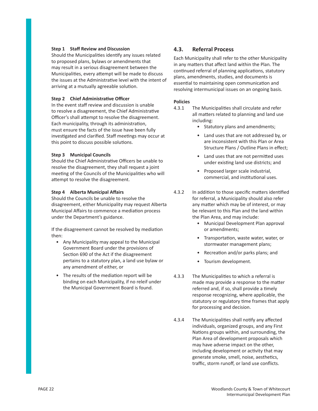#### **Step 1 Staff Review and Discussion**

Should the Municipalities identify any issues related to proposed plans, bylaws or amendments that may result in a serious disagreement between the Municipalities, every attempt will be made to discuss the issues at the Administrative level with the intent of arriving at a mutually agreeable solution.

#### **Step 2 Chief AdministraƟ ve Offi cer**

In the event staff review and discussion is unable to resolve a disagreement, the Chief Administrative Officer's shall attempt to resolve the disagreement. Each municipality, through its administration, must ensure the facts of the issue have been fully investigated and clarified. Staff meetings may occur at this point to discuss possible solutions.

#### **Step 3 Municipal Councils**

Should the Chief Administrative Officers be unable to resolve the disagreement, they shall request a joint meeting of the Councils of the Municipalities who will attempt to resolve the disagreement.

#### **Step 4 Alberta Municipal Affairs**

Should the Councils be unable to resolve the disagreement, either Municipality may request Alberta Municipal Affairs to commence a mediation process under the Department's guidance.

If the disagreement cannot be resolved by mediation then:

- Any Municipality may appeal to the Municipal Government Board under the provisions of Section 690 of the Act if the disagreement pertains to a statutory plan, a land use bylaw or any amendment of either, or
- The results of the mediation report will be binding on each Municipality, if no releif under the Municipal Government Board is found.

# **4.3. Referral Process**

Each Municipality shall refer to the other Municipality in any matters that affect land within the Plan. The continued referral of planning applications, statutory plans, amendments, studies, and documents is essential to maintaining open communication and resolving intermunicipal issues on an ongoing basis.

- 4.3.1 The Municipalities shall circulate and refer all matters related to planning and land use including:
	- Statutory plans and amendments;
	- Land uses that are not addressed by, or are inconsistent with this Plan or Area Structure Plans / Outline Plans in effect:
	- Land uses that are not permitted uses under existing land use districts; and
	- Proposed larger scale industrial, commercial, and institutional uses.
- 4.3.2 In addition to those specific matters identified for referral, a Municipality should also refer any matter which may be of interest, or may be relevant to this Plan and the land within the Plan Area, and may include:
	- Municipal Development Plan approval or amendments;
	- Transportation, waste water, water, or stormwater management plans;
	- Recreation and/or parks plans; and
	- Tourism development.
- 4.3.3 The Municipalities to which a referral is made may provide a response to the matter referred and, if so, shall provide a timely response recognizing, where applicable, the statutory or regulatory time frames that apply for processing and decision.
- 4.3.4 The Municipalities shall notify any affected individuals, organized groups, and any First Nations groups within, and surrounding, the Plan Area of development proposals which may have adverse impact on the other, including development or activity that may generate smoke, smell, noise, aesthetics, traffic, storm runoff, or land use conflicts.